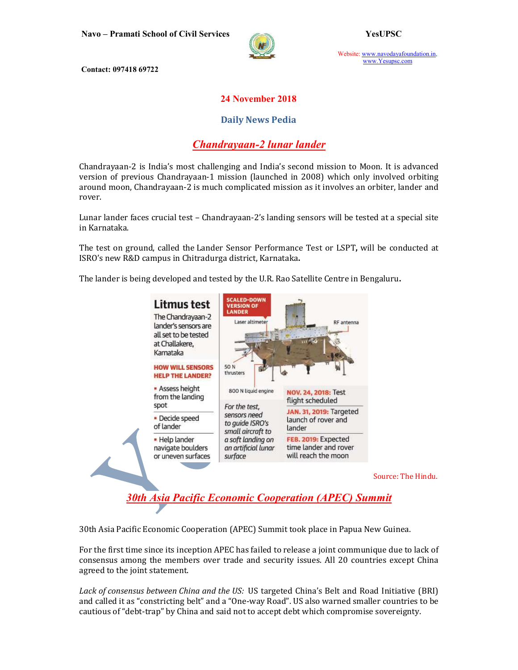

Website: www.navodayafoundation.in, www.Yesupsc.com

Contact: 097418 69722

### 24 November 2018

### Daily News Pedia

## Chandrayaan-2 lunar lander

Chandrayaan-2 is India's most challenging and India's second mission to Moon. It is advanced version of previous Chandrayaan-1 mission (launched in 2008) which only involved orbiting around moon, Chandrayaan-2 is much complicated mission as it involves an orbiter, lander and rover.

Lunar lander faces crucial test – Chandrayaan-2's landing sensors will be tested at a special site in Karnataka.

The test on ground, called the Lander Sensor Performance Test or LSPT, will be conducted at ISRO's new R&D campus in Chitradurga district, Karnataka.

The lander is being developed and tested by the U.R. Rao Satellite Centre in Bengaluru.



Source: The Hindu.

30th Asia Pacific Economic Cooperation (APEC) Summit

30th Asia Pacific Economic Cooperation (APEC) Summit took place in Papua New Guinea.

For the first time since its inception APEC has failed to release a joint communique due to lack of consensus among the members over trade and security issues. All 20 countries except China agreed to the joint statement.

Lack of consensus between China and the US: US targeted China's Belt and Road Initiative (BRI) and called it as "constricting belt" and a "One-way Road". US also warned smaller countries to be cautious of "debt-trap" by China and said not to accept debt which compromise sovereignty.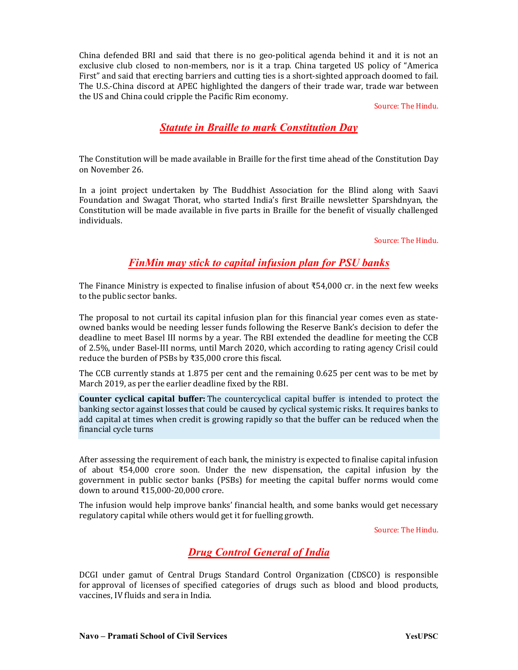China defended BRI and said that there is no geo-political agenda behind it and it is not an exclusive club closed to non-members, nor is it a trap. China targeted US policy of "America First" and said that erecting barriers and cutting ties is a short-sighted approach doomed to fail. The U.S.-China discord at APEC highlighted the dangers of their trade war, trade war between the US and China could cripple the Pacific Rim economy.

Source: The Hindu.

# Statute in Braille to mark Constitution Day

The Constitution will be made available in Braille for the first time ahead of the Constitution Day on November 26.

In a joint project undertaken by The Buddhist Association for the Blind along with Saavi Foundation and Swagat Thorat, who started India's first Braille newsletter Sparshdnyan, the Constitution will be made available in five parts in Braille for the benefit of visually challenged individuals.

Source: The Hindu.

### FinMin may stick to capital infusion plan for PSU banks

The Finance Ministry is expected to finalise infusion of about ₹54,000 cr. in the next few weeks to the public sector banks.

The proposal to not curtail its capital infusion plan for this financial year comes even as stateowned banks would be needing lesser funds following the Reserve Bank's decision to defer the deadline to meet Basel III norms by a year. The RBI extended the deadline for meeting the CCB of 2.5%, under Basel-III norms, until March 2020, which according to rating agency Crisil could reduce the burden of PSBs by ₹35,000 crore this fiscal.

The CCB currently stands at 1.875 per cent and the remaining 0.625 per cent was to be met by March 2019, as per the earlier deadline fixed by the RBI.

Counter cyclical capital buffer: The countercyclical capital buffer is intended to protect the banking sector against losses that could be caused by cyclical systemic risks. It requires banks to add capital at times when credit is growing rapidly so that the buffer can be reduced when the financial cycle turns

After assessing the requirement of each bank, the ministry is expected to finalise capital infusion of about ₹54,000 crore soon. Under the new dispensation, the capital infusion by the government in public sector banks (PSBs) for meeting the capital buffer norms would come down to around ₹15,000-20,000 crore.

The infusion would help improve banks' financial health, and some banks would get necessary regulatory capital while others would get it for fuelling growth.

Source: The Hindu.

## Drug Control General of India

DCGI under gamut of Central Drugs Standard Control Organization (CDSCO) is responsible for approval of licenses of specified categories of drugs such as blood and blood products, vaccines, IV fluids and sera in India.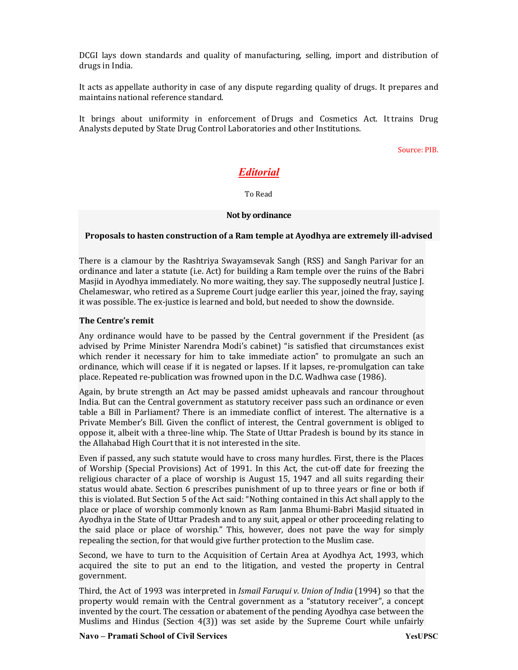DCGI lays down standards and quality of manufacturing, selling, import and distribution of drugs in India.

It acts as appellate authority in case of any dispute regarding quality of drugs. It prepares and maintains national reference standard.

It brings about uniformity in enforcement of Drugs and Cosmetics Act. It trains Drug Analysts deputed by State Drug Control Laboratories and other Institutions.

Source: PIB.

# Editorial

To Read

#### Not by ordinance

#### Proposals to hasten construction of a Ram temple at Ayodhya are extremely ill-advised

There is a clamour by the Rashtriya Swayamsevak Sangh (RSS) and Sangh Parivar for an ordinance and later a statute (i.e. Act) for building a Ram temple over the ruins of the Babri Masjid in Ayodhya immediately. No more waiting, they say. The supposedly neutral Justice J. Chelameswar, who retired as a Supreme Court judge earlier this year, joined the fray, saying it was possible. The ex-justice is learned and bold, but needed to show the downside.

#### The Centre's remit

Any ordinance would have to be passed by the Central government if the President (as advised by Prime Minister Narendra Modi's cabinet) "is satisfied that circumstances exist which render it necessary for him to take immediate action" to promulgate an such an ordinance, which will cease if it is negated or lapses. If it lapses, re-promulgation can take place. Repeated re-publication was frowned upon in the D.C. Wadhwa case (1986).

Again, by brute strength an Act may be passed amidst upheavals and rancour throughout India. But can the Central government as statutory receiver pass such an ordinance or even table a Bill in Parliament? There is an immediate conflict of interest. The alternative is a Private Member's Bill. Given the conflict of interest, the Central government is obliged to oppose it, albeit with a three-line whip. The State of Uttar Pradesh is bound by its stance in the Allahabad High Court that it is not interested in the site.

Even if passed, any such statute would have to cross many hurdles. First, there is the Places of Worship (Special Provisions) Act of 1991. In this Act, the cut-off date for freezing the religious character of a place of worship is August 15, 1947 and all suits regarding their status would abate. Section 6 prescribes punishment of up to three years or fine or both if this is violated. But Section 5 of the Act said: "Nothing contained in this Act shall apply to the place or place of worship commonly known as Ram Janma Bhumi-Babri Masjid situated in Ayodhya in the State of Uttar Pradesh and to any suit, appeal or other proceeding relating to the said place or place of worship." This, however, does not pave the way for simply repealing the section, for that would give further protection to the Muslim case.

Second, we have to turn to the Acquisition of Certain Area at Ayodhya Act, 1993, which acquired the site to put an end to the litigation, and vested the property in Central government.

Third, the Act of 1993 was interpreted in Ismail Faruqui v. Union of India (1994) so that the property would remain with the Central government as a "statutory receiver", a concept invented by the court. The cessation or abatement of the pending Ayodhya case between the Muslims and Hindus (Section 4(3)) was set aside by the Supreme Court while unfairly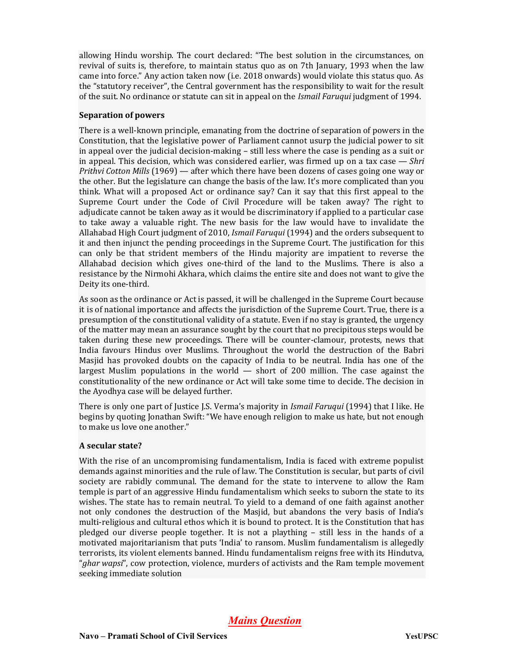allowing Hindu worship. The court declared: "The best solution in the circumstances, on revival of suits is, therefore, to maintain status quo as on 7th January, 1993 when the law came into force." Any action taken now (i.e. 2018 onwards) would violate this status quo. As the "statutory receiver", the Central government has the responsibility to wait for the result of the suit. No ordinance or statute can sit in appeal on the Ismail Faruqui judgment of 1994.

#### Separation of powers

There is a well-known principle, emanating from the doctrine of separation of powers in the Constitution, that the legislative power of Parliament cannot usurp the judicial power to sit in appeal over the judicial decision-making – still less where the case is pending as a suit or in appeal. This decision, which was considered earlier, was firmed up on a tax case  $-Shri$ Prithvi Cotton Mills (1969) — after which there have been dozens of cases going one way or the other. But the legislature can change the basis of the law. It's more complicated than you think. What will a proposed Act or ordinance say? Can it say that this first appeal to the Supreme Court under the Code of Civil Procedure will be taken away? The right to adjudicate cannot be taken away as it would be discriminatory if applied to a particular case to take away a valuable right. The new basis for the law would have to invalidate the Allahabad High Court judgment of 2010, Ismail Faruqui (1994) and the orders subsequent to it and then injunct the pending proceedings in the Supreme Court. The justification for this can only be that strident members of the Hindu majority are impatient to reverse the Allahabad decision which gives one-third of the land to the Muslims. There is also a resistance by the Nirmohi Akhara, which claims the entire site and does not want to give the Deity its one-third.

As soon as the ordinance or Act is passed, it will be challenged in the Supreme Court because it is of national importance and affects the jurisdiction of the Supreme Court. True, there is a presumption of the constitutional validity of a statute. Even if no stay is granted, the urgency of the matter may mean an assurance sought by the court that no precipitous steps would be taken during these new proceedings. There will be counter-clamour, protests, news that India favours Hindus over Muslims. Throughout the world the destruction of the Babri Masjid has provoked doubts on the capacity of India to be neutral. India has one of the largest Muslim populations in the world — short of 200 million. The case against the constitutionality of the new ordinance or Act will take some time to decide. The decision in the Ayodhya case will be delayed further.

There is only one part of Justice J.S. Verma's majority in *Ismail Faruqui* (1994) that I like. He begins by quoting Jonathan Swift: "We have enough religion to make us hate, but not enough to make us love one another."

#### A secular state?

With the rise of an uncompromising fundamentalism, India is faced with extreme populist demands against minorities and the rule of law. The Constitution is secular, but parts of civil society are rabidly communal. The demand for the state to intervene to allow the Ram temple is part of an aggressive Hindu fundamentalism which seeks to suborn the state to its wishes. The state has to remain neutral. To yield to a demand of one faith against another not only condones the destruction of the Masjid, but abandons the very basis of India's multi-religious and cultural ethos which it is bound to protect. It is the Constitution that has pledged our diverse people together. It is not a plaything – still less in the hands of a motivated majoritarianism that puts 'India' to ransom. Muslim fundamentalism is allegedly terrorists, its violent elements banned. Hindu fundamentalism reigns free with its Hindutva, "ghar wapsi", cow protection, violence, murders of activists and the Ram temple movement seeking immediate solution

Mains Question